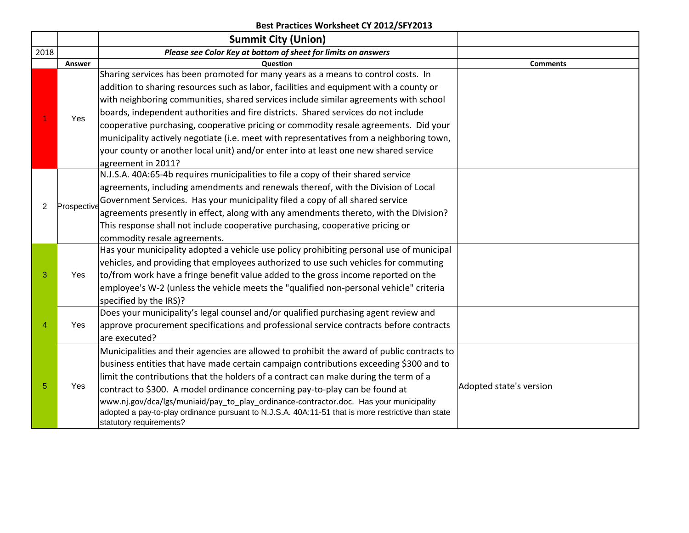|      |             | <b>Summit City (Union)</b>                                                                         |                         |
|------|-------------|----------------------------------------------------------------------------------------------------|-------------------------|
| 2018 |             | Please see Color Key at bottom of sheet for limits on answers                                      |                         |
|      | Answer      | Question                                                                                           | <b>Comments</b>         |
|      |             | Sharing services has been promoted for many years as a means to control costs. In                  |                         |
|      |             | addition to sharing resources such as labor, facilities and equipment with a county or             |                         |
|      |             | with neighboring communities, shared services include similar agreements with school               |                         |
|      | Yes         | boards, independent authorities and fire districts. Shared services do not include                 |                         |
|      |             | cooperative purchasing, cooperative pricing or commodity resale agreements. Did your               |                         |
|      |             | municipality actively negotiate (i.e. meet with representatives from a neighboring town,           |                         |
|      |             | your county or another local unit) and/or enter into at least one new shared service               |                         |
|      |             | agreement in 2011?                                                                                 |                         |
|      |             | N.J.S.A. 40A:65-4b requires municipalities to file a copy of their shared service                  |                         |
|      |             | agreements, including amendments and renewals thereof, with the Division of Local                  |                         |
|      |             | Government Services. Has your municipality filed a copy of all shared service                      |                         |
| 2    | Prospective | agreements presently in effect, along with any amendments thereto, with the Division?              |                         |
|      |             | This response shall not include cooperative purchasing, cooperative pricing or                     |                         |
|      |             | commodity resale agreements.                                                                       |                         |
|      |             | Has your municipality adopted a vehicle use policy prohibiting personal use of municipal           |                         |
|      |             | vehicles, and providing that employees authorized to use such vehicles for commuting               |                         |
| 3    | Yes         | to/from work have a fringe benefit value added to the gross income reported on the                 |                         |
|      |             | employee's W-2 (unless the vehicle meets the "qualified non-personal vehicle" criteria             |                         |
|      |             | specified by the IRS)?                                                                             |                         |
|      |             | Does your municipality's legal counsel and/or qualified purchasing agent review and                |                         |
| 4    | Yes         | approve procurement specifications and professional service contracts before contracts             |                         |
|      |             | are executed?                                                                                      |                         |
|      |             | Municipalities and their agencies are allowed to prohibit the award of public contracts to         |                         |
|      |             | business entities that have made certain campaign contributions exceeding \$300 and to             |                         |
|      |             | limit the contributions that the holders of a contract can make during the term of a               |                         |
| 5    | Yes         | contract to \$300. A model ordinance concerning pay-to-play can be found at                        | Adopted state's version |
|      |             | www.nj.gov/dca/lgs/muniaid/pay_to_play_ordinance-contractor.doc. Has your municipality             |                         |
|      |             | adopted a pay-to-play ordinance pursuant to N.J.S.A. 40A:11-51 that is more restrictive than state |                         |
|      |             | statutory requirements?                                                                            |                         |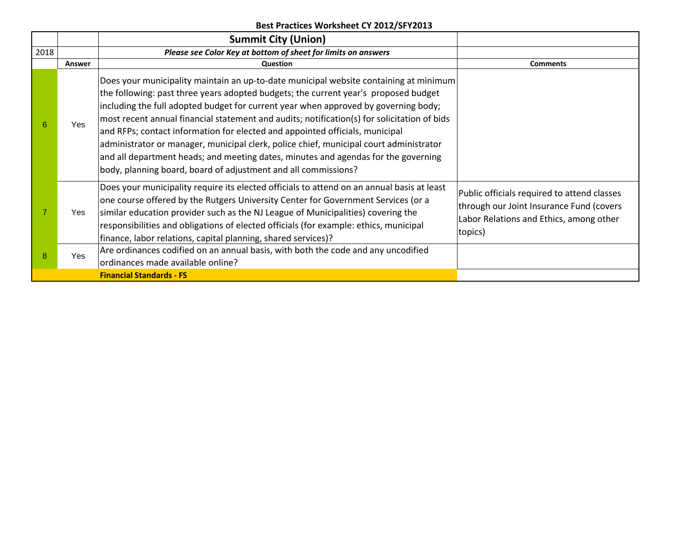|                                 |        | <b>Summit City (Union)</b>                                                                                                                                                                                                                                                                                                                                                                                                                                                                                                                                                                                                                                                                           |                                                                                                                                               |  |
|---------------------------------|--------|------------------------------------------------------------------------------------------------------------------------------------------------------------------------------------------------------------------------------------------------------------------------------------------------------------------------------------------------------------------------------------------------------------------------------------------------------------------------------------------------------------------------------------------------------------------------------------------------------------------------------------------------------------------------------------------------------|-----------------------------------------------------------------------------------------------------------------------------------------------|--|
| 2018                            |        | Please see Color Key at bottom of sheet for limits on answers                                                                                                                                                                                                                                                                                                                                                                                                                                                                                                                                                                                                                                        |                                                                                                                                               |  |
|                                 | Answer | Question                                                                                                                                                                                                                                                                                                                                                                                                                                                                                                                                                                                                                                                                                             | <b>Comments</b>                                                                                                                               |  |
| 6                               | Yes    | Does your municipality maintain an up-to-date municipal website containing at minimum<br>the following: past three years adopted budgets; the current year's proposed budget<br>including the full adopted budget for current year when approved by governing body;<br>most recent annual financial statement and audits; notification(s) for solicitation of bids<br>and RFPs; contact information for elected and appointed officials, municipal<br>administrator or manager, municipal clerk, police chief, municipal court administrator<br>and all department heads; and meeting dates, minutes and agendas for the governing<br>body, planning board, board of adjustment and all commissions? |                                                                                                                                               |  |
|                                 | Yes    | Does your municipality require its elected officials to attend on an annual basis at least<br>one course offered by the Rutgers University Center for Government Services (or a<br>similar education provider such as the NJ League of Municipalities) covering the<br>responsibilities and obligations of elected officials (for example: ethics, municipal<br>finance, labor relations, capital planning, shared services)?                                                                                                                                                                                                                                                                        | Public officials required to attend classes<br>through our Joint Insurance Fund (covers<br>Labor Relations and Ethics, among other<br>topics) |  |
| 8                               | Yes    | Are ordinances codified on an annual basis, with both the code and any uncodified<br>ordinances made available online?                                                                                                                                                                                                                                                                                                                                                                                                                                                                                                                                                                               |                                                                                                                                               |  |
| <b>Financial Standards - FS</b> |        |                                                                                                                                                                                                                                                                                                                                                                                                                                                                                                                                                                                                                                                                                                      |                                                                                                                                               |  |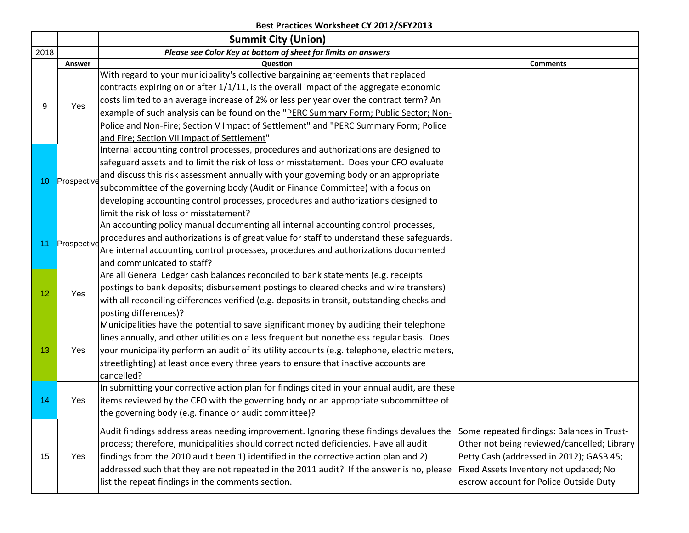|      |             | <b>Summit City (Union)</b>                                                                                                                                                                                                                                                                                                                                                                                                                                                                                                                                                                                                                                                                                                                                                                                                                                                                                                                                                                                                                                                                                                                                                                                                                                                                                                                                                                                                                                                                                                                                                                                                                                                                                                                                                                                                                                                                                                                                                                                                                                                                                                                                                                                          |                                                                                                                                                                                                                           |
|------|-------------|---------------------------------------------------------------------------------------------------------------------------------------------------------------------------------------------------------------------------------------------------------------------------------------------------------------------------------------------------------------------------------------------------------------------------------------------------------------------------------------------------------------------------------------------------------------------------------------------------------------------------------------------------------------------------------------------------------------------------------------------------------------------------------------------------------------------------------------------------------------------------------------------------------------------------------------------------------------------------------------------------------------------------------------------------------------------------------------------------------------------------------------------------------------------------------------------------------------------------------------------------------------------------------------------------------------------------------------------------------------------------------------------------------------------------------------------------------------------------------------------------------------------------------------------------------------------------------------------------------------------------------------------------------------------------------------------------------------------------------------------------------------------------------------------------------------------------------------------------------------------------------------------------------------------------------------------------------------------------------------------------------------------------------------------------------------------------------------------------------------------------------------------------------------------------------------------------------------------|---------------------------------------------------------------------------------------------------------------------------------------------------------------------------------------------------------------------------|
| 2018 |             | Please see Color Key at bottom of sheet for limits on answers                                                                                                                                                                                                                                                                                                                                                                                                                                                                                                                                                                                                                                                                                                                                                                                                                                                                                                                                                                                                                                                                                                                                                                                                                                                                                                                                                                                                                                                                                                                                                                                                                                                                                                                                                                                                                                                                                                                                                                                                                                                                                                                                                       |                                                                                                                                                                                                                           |
|      | Answer      | Question                                                                                                                                                                                                                                                                                                                                                                                                                                                                                                                                                                                                                                                                                                                                                                                                                                                                                                                                                                                                                                                                                                                                                                                                                                                                                                                                                                                                                                                                                                                                                                                                                                                                                                                                                                                                                                                                                                                                                                                                                                                                                                                                                                                                            | <b>Comments</b>                                                                                                                                                                                                           |
|      |             | With regard to your municipality's collective bargaining agreements that replaced                                                                                                                                                                                                                                                                                                                                                                                                                                                                                                                                                                                                                                                                                                                                                                                                                                                                                                                                                                                                                                                                                                                                                                                                                                                                                                                                                                                                                                                                                                                                                                                                                                                                                                                                                                                                                                                                                                                                                                                                                                                                                                                                   |                                                                                                                                                                                                                           |
|      |             |                                                                                                                                                                                                                                                                                                                                                                                                                                                                                                                                                                                                                                                                                                                                                                                                                                                                                                                                                                                                                                                                                                                                                                                                                                                                                                                                                                                                                                                                                                                                                                                                                                                                                                                                                                                                                                                                                                                                                                                                                                                                                                                                                                                                                     |                                                                                                                                                                                                                           |
| 9    |             |                                                                                                                                                                                                                                                                                                                                                                                                                                                                                                                                                                                                                                                                                                                                                                                                                                                                                                                                                                                                                                                                                                                                                                                                                                                                                                                                                                                                                                                                                                                                                                                                                                                                                                                                                                                                                                                                                                                                                                                                                                                                                                                                                                                                                     |                                                                                                                                                                                                                           |
|      |             |                                                                                                                                                                                                                                                                                                                                                                                                                                                                                                                                                                                                                                                                                                                                                                                                                                                                                                                                                                                                                                                                                                                                                                                                                                                                                                                                                                                                                                                                                                                                                                                                                                                                                                                                                                                                                                                                                                                                                                                                                                                                                                                                                                                                                     |                                                                                                                                                                                                                           |
|      |             | Police and Non-Fire; Section V Impact of Settlement" and "PERC Summary Form; Police                                                                                                                                                                                                                                                                                                                                                                                                                                                                                                                                                                                                                                                                                                                                                                                                                                                                                                                                                                                                                                                                                                                                                                                                                                                                                                                                                                                                                                                                                                                                                                                                                                                                                                                                                                                                                                                                                                                                                                                                                                                                                                                                 |                                                                                                                                                                                                                           |
|      |             | and Fire; Section VII Impact of Settlement"                                                                                                                                                                                                                                                                                                                                                                                                                                                                                                                                                                                                                                                                                                                                                                                                                                                                                                                                                                                                                                                                                                                                                                                                                                                                                                                                                                                                                                                                                                                                                                                                                                                                                                                                                                                                                                                                                                                                                                                                                                                                                                                                                                         |                                                                                                                                                                                                                           |
|      |             |                                                                                                                                                                                                                                                                                                                                                                                                                                                                                                                                                                                                                                                                                                                                                                                                                                                                                                                                                                                                                                                                                                                                                                                                                                                                                                                                                                                                                                                                                                                                                                                                                                                                                                                                                                                                                                                                                                                                                                                                                                                                                                                                                                                                                     |                                                                                                                                                                                                                           |
|      |             |                                                                                                                                                                                                                                                                                                                                                                                                                                                                                                                                                                                                                                                                                                                                                                                                                                                                                                                                                                                                                                                                                                                                                                                                                                                                                                                                                                                                                                                                                                                                                                                                                                                                                                                                                                                                                                                                                                                                                                                                                                                                                                                                                                                                                     |                                                                                                                                                                                                                           |
| 10   | Prospective |                                                                                                                                                                                                                                                                                                                                                                                                                                                                                                                                                                                                                                                                                                                                                                                                                                                                                                                                                                                                                                                                                                                                                                                                                                                                                                                                                                                                                                                                                                                                                                                                                                                                                                                                                                                                                                                                                                                                                                                                                                                                                                                                                                                                                     |                                                                                                                                                                                                                           |
|      |             | subcommittee of the governing body (Audit or Finance Committee) with a focus on                                                                                                                                                                                                                                                                                                                                                                                                                                                                                                                                                                                                                                                                                                                                                                                                                                                                                                                                                                                                                                                                                                                                                                                                                                                                                                                                                                                                                                                                                                                                                                                                                                                                                                                                                                                                                                                                                                                                                                                                                                                                                                                                     |                                                                                                                                                                                                                           |
|      |             | developing accounting control processes, procedures and authorizations designed to                                                                                                                                                                                                                                                                                                                                                                                                                                                                                                                                                                                                                                                                                                                                                                                                                                                                                                                                                                                                                                                                                                                                                                                                                                                                                                                                                                                                                                                                                                                                                                                                                                                                                                                                                                                                                                                                                                                                                                                                                                                                                                                                  |                                                                                                                                                                                                                           |
|      |             |                                                                                                                                                                                                                                                                                                                                                                                                                                                                                                                                                                                                                                                                                                                                                                                                                                                                                                                                                                                                                                                                                                                                                                                                                                                                                                                                                                                                                                                                                                                                                                                                                                                                                                                                                                                                                                                                                                                                                                                                                                                                                                                                                                                                                     |                                                                                                                                                                                                                           |
|      |             |                                                                                                                                                                                                                                                                                                                                                                                                                                                                                                                                                                                                                                                                                                                                                                                                                                                                                                                                                                                                                                                                                                                                                                                                                                                                                                                                                                                                                                                                                                                                                                                                                                                                                                                                                                                                                                                                                                                                                                                                                                                                                                                                                                                                                     |                                                                                                                                                                                                                           |
| 11   | Prospective |                                                                                                                                                                                                                                                                                                                                                                                                                                                                                                                                                                                                                                                                                                                                                                                                                                                                                                                                                                                                                                                                                                                                                                                                                                                                                                                                                                                                                                                                                                                                                                                                                                                                                                                                                                                                                                                                                                                                                                                                                                                                                                                                                                                                                     | Some repeated findings: Balances in Trust-<br>Other not being reviewed/cancelled; Library<br>Petty Cash (addressed in 2012); GASB 45;<br>Fixed Assets Inventory not updated; No<br>escrow account for Police Outside Duty |
|      |             |                                                                                                                                                                                                                                                                                                                                                                                                                                                                                                                                                                                                                                                                                                                                                                                                                                                                                                                                                                                                                                                                                                                                                                                                                                                                                                                                                                                                                                                                                                                                                                                                                                                                                                                                                                                                                                                                                                                                                                                                                                                                                                                                                                                                                     |                                                                                                                                                                                                                           |
|      |             |                                                                                                                                                                                                                                                                                                                                                                                                                                                                                                                                                                                                                                                                                                                                                                                                                                                                                                                                                                                                                                                                                                                                                                                                                                                                                                                                                                                                                                                                                                                                                                                                                                                                                                                                                                                                                                                                                                                                                                                                                                                                                                                                                                                                                     |                                                                                                                                                                                                                           |
|      |             |                                                                                                                                                                                                                                                                                                                                                                                                                                                                                                                                                                                                                                                                                                                                                                                                                                                                                                                                                                                                                                                                                                                                                                                                                                                                                                                                                                                                                                                                                                                                                                                                                                                                                                                                                                                                                                                                                                                                                                                                                                                                                                                                                                                                                     |                                                                                                                                                                                                                           |
| 12   | Yes         |                                                                                                                                                                                                                                                                                                                                                                                                                                                                                                                                                                                                                                                                                                                                                                                                                                                                                                                                                                                                                                                                                                                                                                                                                                                                                                                                                                                                                                                                                                                                                                                                                                                                                                                                                                                                                                                                                                                                                                                                                                                                                                                                                                                                                     |                                                                                                                                                                                                                           |
|      |             | with all reconciling differences verified (e.g. deposits in transit, outstanding checks and                                                                                                                                                                                                                                                                                                                                                                                                                                                                                                                                                                                                                                                                                                                                                                                                                                                                                                                                                                                                                                                                                                                                                                                                                                                                                                                                                                                                                                                                                                                                                                                                                                                                                                                                                                                                                                                                                                                                                                                                                                                                                                                         |                                                                                                                                                                                                                           |
|      |             |                                                                                                                                                                                                                                                                                                                                                                                                                                                                                                                                                                                                                                                                                                                                                                                                                                                                                                                                                                                                                                                                                                                                                                                                                                                                                                                                                                                                                                                                                                                                                                                                                                                                                                                                                                                                                                                                                                                                                                                                                                                                                                                                                                                                                     |                                                                                                                                                                                                                           |
|      |             |                                                                                                                                                                                                                                                                                                                                                                                                                                                                                                                                                                                                                                                                                                                                                                                                                                                                                                                                                                                                                                                                                                                                                                                                                                                                                                                                                                                                                                                                                                                                                                                                                                                                                                                                                                                                                                                                                                                                                                                                                                                                                                                                                                                                                     |                                                                                                                                                                                                                           |
|      |             |                                                                                                                                                                                                                                                                                                                                                                                                                                                                                                                                                                                                                                                                                                                                                                                                                                                                                                                                                                                                                                                                                                                                                                                                                                                                                                                                                                                                                                                                                                                                                                                                                                                                                                                                                                                                                                                                                                                                                                                                                                                                                                                                                                                                                     |                                                                                                                                                                                                                           |
| 13   |             | contracts expiring on or after 1/1/11, is the overall impact of the aggregate economic<br>costs limited to an average increase of 2% or less per year over the contract term? An<br>Yes<br>example of such analysis can be found on the "PERC Summary Form; Public Sector; Non-<br>Internal accounting control processes, procedures and authorizations are designed to<br>safeguard assets and to limit the risk of loss or misstatement. Does your CFO evaluate<br>and discuss this risk assessment annually with your governing body or an appropriate<br>limit the risk of loss or misstatement?<br>An accounting policy manual documenting all internal accounting control processes,<br>procedures and authorizations is of great value for staff to understand these safeguards.<br>Are internal accounting control processes, procedures and authorizations documented<br>and communicated to staff?<br>Are all General Ledger cash balances reconciled to bank statements (e.g. receipts<br>postings to bank deposits; disbursement postings to cleared checks and wire transfers)<br>posting differences)?<br>Municipalities have the potential to save significant money by auditing their telephone<br>lines annually, and other utilities on a less frequent but nonetheless regular basis. Does<br>your municipality perform an audit of its utility accounts (e.g. telephone, electric meters,<br>Yes<br>streetlighting) at least once every three years to ensure that inactive accounts are<br>cancelled?<br>In submitting your corrective action plan for findings cited in your annual audit, are these<br>items reviewed by the CFO with the governing body or an appropriate subcommittee of<br>Yes<br>the governing body (e.g. finance or audit committee)?<br>Audit findings address areas needing improvement. Ignoring these findings devalues the<br>process; therefore, municipalities should correct noted deficiencies. Have all audit<br>findings from the 2010 audit been 1) identified in the corrective action plan and 2)<br>Yes<br>addressed such that they are not repeated in the 2011 audit? If the answer is no, please<br>list the repeat findings in the comments section. |                                                                                                                                                                                                                           |
|      |             |                                                                                                                                                                                                                                                                                                                                                                                                                                                                                                                                                                                                                                                                                                                                                                                                                                                                                                                                                                                                                                                                                                                                                                                                                                                                                                                                                                                                                                                                                                                                                                                                                                                                                                                                                                                                                                                                                                                                                                                                                                                                                                                                                                                                                     |                                                                                                                                                                                                                           |
|      |             |                                                                                                                                                                                                                                                                                                                                                                                                                                                                                                                                                                                                                                                                                                                                                                                                                                                                                                                                                                                                                                                                                                                                                                                                                                                                                                                                                                                                                                                                                                                                                                                                                                                                                                                                                                                                                                                                                                                                                                                                                                                                                                                                                                                                                     |                                                                                                                                                                                                                           |
|      |             |                                                                                                                                                                                                                                                                                                                                                                                                                                                                                                                                                                                                                                                                                                                                                                                                                                                                                                                                                                                                                                                                                                                                                                                                                                                                                                                                                                                                                                                                                                                                                                                                                                                                                                                                                                                                                                                                                                                                                                                                                                                                                                                                                                                                                     |                                                                                                                                                                                                                           |
| 14   |             |                                                                                                                                                                                                                                                                                                                                                                                                                                                                                                                                                                                                                                                                                                                                                                                                                                                                                                                                                                                                                                                                                                                                                                                                                                                                                                                                                                                                                                                                                                                                                                                                                                                                                                                                                                                                                                                                                                                                                                                                                                                                                                                                                                                                                     |                                                                                                                                                                                                                           |
|      |             |                                                                                                                                                                                                                                                                                                                                                                                                                                                                                                                                                                                                                                                                                                                                                                                                                                                                                                                                                                                                                                                                                                                                                                                                                                                                                                                                                                                                                                                                                                                                                                                                                                                                                                                                                                                                                                                                                                                                                                                                                                                                                                                                                                                                                     |                                                                                                                                                                                                                           |
|      |             |                                                                                                                                                                                                                                                                                                                                                                                                                                                                                                                                                                                                                                                                                                                                                                                                                                                                                                                                                                                                                                                                                                                                                                                                                                                                                                                                                                                                                                                                                                                                                                                                                                                                                                                                                                                                                                                                                                                                                                                                                                                                                                                                                                                                                     |                                                                                                                                                                                                                           |
| 15   |             |                                                                                                                                                                                                                                                                                                                                                                                                                                                                                                                                                                                                                                                                                                                                                                                                                                                                                                                                                                                                                                                                                                                                                                                                                                                                                                                                                                                                                                                                                                                                                                                                                                                                                                                                                                                                                                                                                                                                                                                                                                                                                                                                                                                                                     |                                                                                                                                                                                                                           |
|      |             |                                                                                                                                                                                                                                                                                                                                                                                                                                                                                                                                                                                                                                                                                                                                                                                                                                                                                                                                                                                                                                                                                                                                                                                                                                                                                                                                                                                                                                                                                                                                                                                                                                                                                                                                                                                                                                                                                                                                                                                                                                                                                                                                                                                                                     |                                                                                                                                                                                                                           |
|      |             |                                                                                                                                                                                                                                                                                                                                                                                                                                                                                                                                                                                                                                                                                                                                                                                                                                                                                                                                                                                                                                                                                                                                                                                                                                                                                                                                                                                                                                                                                                                                                                                                                                                                                                                                                                                                                                                                                                                                                                                                                                                                                                                                                                                                                     |                                                                                                                                                                                                                           |
|      |             |                                                                                                                                                                                                                                                                                                                                                                                                                                                                                                                                                                                                                                                                                                                                                                                                                                                                                                                                                                                                                                                                                                                                                                                                                                                                                                                                                                                                                                                                                                                                                                                                                                                                                                                                                                                                                                                                                                                                                                                                                                                                                                                                                                                                                     |                                                                                                                                                                                                                           |
|      |             |                                                                                                                                                                                                                                                                                                                                                                                                                                                                                                                                                                                                                                                                                                                                                                                                                                                                                                                                                                                                                                                                                                                                                                                                                                                                                                                                                                                                                                                                                                                                                                                                                                                                                                                                                                                                                                                                                                                                                                                                                                                                                                                                                                                                                     |                                                                                                                                                                                                                           |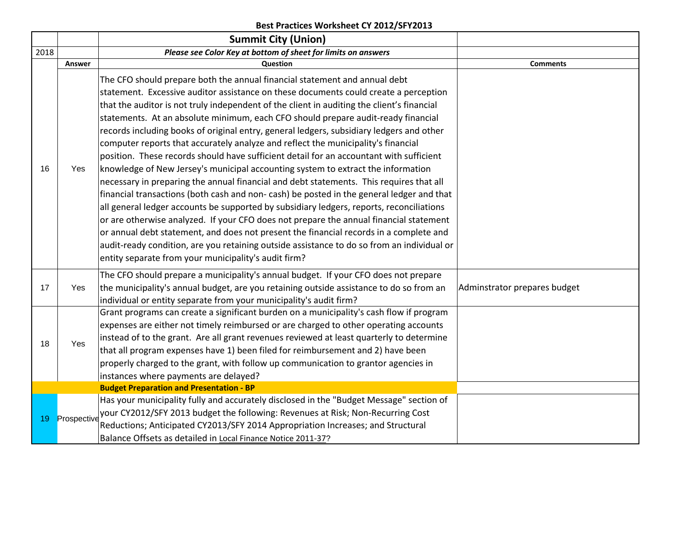|      |             | <b>Summit City (Union)</b>                                                                 |                              |
|------|-------------|--------------------------------------------------------------------------------------------|------------------------------|
| 2018 |             | Please see Color Key at bottom of sheet for limits on answers                              |                              |
|      | Answer      | Question                                                                                   | <b>Comments</b>              |
|      |             | The CFO should prepare both the annual financial statement and annual debt                 |                              |
|      |             | statement. Excessive auditor assistance on these documents could create a perception       |                              |
|      |             | that the auditor is not truly independent of the client in auditing the client's financial |                              |
|      |             | statements. At an absolute minimum, each CFO should prepare audit-ready financial          |                              |
|      |             | records including books of original entry, general ledgers, subsidiary ledgers and other   |                              |
|      |             | computer reports that accurately analyze and reflect the municipality's financial          |                              |
|      |             | position. These records should have sufficient detail for an accountant with sufficient    |                              |
| 16   | Yes         | knowledge of New Jersey's municipal accounting system to extract the information           |                              |
|      |             | necessary in preparing the annual financial and debt statements. This requires that all    |                              |
|      |             | financial transactions (both cash and non-cash) be posted in the general ledger and that   |                              |
|      |             | all general ledger accounts be supported by subsidiary ledgers, reports, reconciliations   |                              |
|      |             | or are otherwise analyzed. If your CFO does not prepare the annual financial statement     |                              |
|      |             | or annual debt statement, and does not present the financial records in a complete and     |                              |
|      |             | audit-ready condition, are you retaining outside assistance to do so from an individual or |                              |
|      |             | entity separate from your municipality's audit firm?                                       |                              |
|      |             | The CFO should prepare a municipality's annual budget. If your CFO does not prepare        |                              |
| 17   | Yes         | the municipality's annual budget, are you retaining outside assistance to do so from an    | Adminstrator prepares budget |
|      |             | individual or entity separate from your municipality's audit firm?                         |                              |
|      |             | Grant programs can create a significant burden on a municipality's cash flow if program    |                              |
|      |             | expenses are either not timely reimbursed or are charged to other operating accounts       |                              |
| 18   | Yes         | instead of to the grant. Are all grant revenues reviewed at least quarterly to determine   |                              |
|      |             | that all program expenses have 1) been filed for reimbursement and 2) have been            |                              |
|      |             | properly charged to the grant, with follow up communication to grantor agencies in         |                              |
|      |             | instances where payments are delayed?                                                      |                              |
|      |             | <b>Budget Preparation and Presentation - BP</b>                                            |                              |
|      |             | Has your municipality fully and accurately disclosed in the "Budget Message" section of    |                              |
| 19   | Prospective | your CY2012/SFY 2013 budget the following: Revenues at Risk; Non-Recurring Cost            |                              |
|      |             | Reductions; Anticipated CY2013/SFY 2014 Appropriation Increases; and Structural            |                              |
|      |             | Balance Offsets as detailed in Local Finance Notice 2011-37?                               |                              |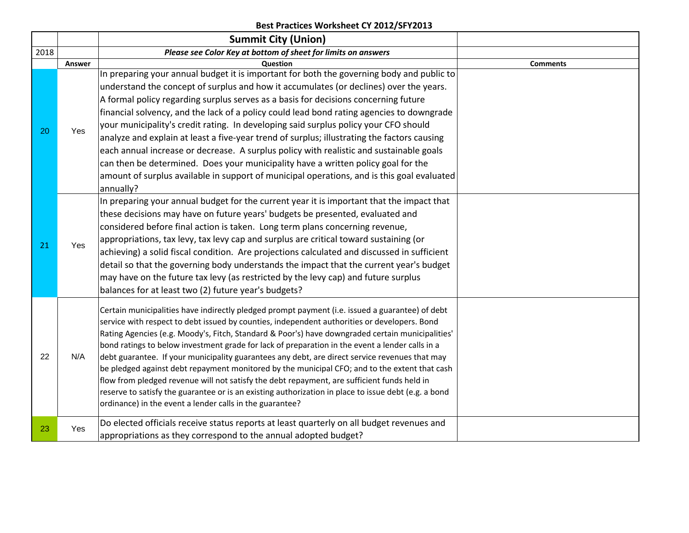|      |                                                                                                                                                                                                                                                                                                                                                                                                                                                                                                                                                                                                                                                                                                          | <b>Summit City (Union)</b>                                                                           |                 |
|------|----------------------------------------------------------------------------------------------------------------------------------------------------------------------------------------------------------------------------------------------------------------------------------------------------------------------------------------------------------------------------------------------------------------------------------------------------------------------------------------------------------------------------------------------------------------------------------------------------------------------------------------------------------------------------------------------------------|------------------------------------------------------------------------------------------------------|-----------------|
| 2018 |                                                                                                                                                                                                                                                                                                                                                                                                                                                                                                                                                                                                                                                                                                          | Please see Color Key at bottom of sheet for limits on answers                                        |                 |
|      | Answer                                                                                                                                                                                                                                                                                                                                                                                                                                                                                                                                                                                                                                                                                                   | Question                                                                                             | <b>Comments</b> |
|      |                                                                                                                                                                                                                                                                                                                                                                                                                                                                                                                                                                                                                                                                                                          | In preparing your annual budget it is important for both the governing body and public to            |                 |
|      |                                                                                                                                                                                                                                                                                                                                                                                                                                                                                                                                                                                                                                                                                                          | understand the concept of surplus and how it accumulates (or declines) over the years.               |                 |
|      |                                                                                                                                                                                                                                                                                                                                                                                                                                                                                                                                                                                                                                                                                                          | A formal policy regarding surplus serves as a basis for decisions concerning future                  |                 |
|      |                                                                                                                                                                                                                                                                                                                                                                                                                                                                                                                                                                                                                                                                                                          | financial solvency, and the lack of a policy could lead bond rating agencies to downgrade            |                 |
| 20   | Yes                                                                                                                                                                                                                                                                                                                                                                                                                                                                                                                                                                                                                                                                                                      | your municipality's credit rating. In developing said surplus policy your CFO should                 |                 |
|      |                                                                                                                                                                                                                                                                                                                                                                                                                                                                                                                                                                                                                                                                                                          | analyze and explain at least a five-year trend of surplus; illustrating the factors causing          |                 |
|      |                                                                                                                                                                                                                                                                                                                                                                                                                                                                                                                                                                                                                                                                                                          | each annual increase or decrease. A surplus policy with realistic and sustainable goals              |                 |
|      |                                                                                                                                                                                                                                                                                                                                                                                                                                                                                                                                                                                                                                                                                                          | can then be determined. Does your municipality have a written policy goal for the                    |                 |
|      |                                                                                                                                                                                                                                                                                                                                                                                                                                                                                                                                                                                                                                                                                                          | amount of surplus available in support of municipal operations, and is this goal evaluated           |                 |
|      |                                                                                                                                                                                                                                                                                                                                                                                                                                                                                                                                                                                                                                                                                                          | annually?                                                                                            |                 |
|      | In preparing your annual budget for the current year it is important that the impact that<br>these decisions may have on future years' budgets be presented, evaluated and<br>considered before final action is taken. Long term plans concerning revenue,<br>appropriations, tax levy, tax levy cap and surplus are critical toward sustaining (or<br>Yes<br>21<br>achieving) a solid fiscal condition. Are projections calculated and discussed in sufficient<br>detail so that the governing body understands the impact that the current year's budget<br>may have on the future tax levy (as restricted by the levy cap) and future surplus<br>balances for at least two (2) future year's budgets? |                                                                                                      |                 |
|      |                                                                                                                                                                                                                                                                                                                                                                                                                                                                                                                                                                                                                                                                                                          |                                                                                                      |                 |
|      |                                                                                                                                                                                                                                                                                                                                                                                                                                                                                                                                                                                                                                                                                                          |                                                                                                      |                 |
|      |                                                                                                                                                                                                                                                                                                                                                                                                                                                                                                                                                                                                                                                                                                          |                                                                                                      |                 |
|      |                                                                                                                                                                                                                                                                                                                                                                                                                                                                                                                                                                                                                                                                                                          |                                                                                                      |                 |
|      |                                                                                                                                                                                                                                                                                                                                                                                                                                                                                                                                                                                                                                                                                                          |                                                                                                      |                 |
|      |                                                                                                                                                                                                                                                                                                                                                                                                                                                                                                                                                                                                                                                                                                          |                                                                                                      |                 |
|      |                                                                                                                                                                                                                                                                                                                                                                                                                                                                                                                                                                                                                                                                                                          |                                                                                                      |                 |
|      |                                                                                                                                                                                                                                                                                                                                                                                                                                                                                                                                                                                                                                                                                                          | Certain municipalities have indirectly pledged prompt payment (i.e. issued a guarantee) of debt      |                 |
|      |                                                                                                                                                                                                                                                                                                                                                                                                                                                                                                                                                                                                                                                                                                          | service with respect to debt issued by counties, independent authorities or developers. Bond         |                 |
|      |                                                                                                                                                                                                                                                                                                                                                                                                                                                                                                                                                                                                                                                                                                          | Rating Agencies (e.g. Moody's, Fitch, Standard & Poor's) have downgraded certain municipalities'     |                 |
|      |                                                                                                                                                                                                                                                                                                                                                                                                                                                                                                                                                                                                                                                                                                          | bond ratings to below investment grade for lack of preparation in the event a lender calls in a      |                 |
| 22   | N/A                                                                                                                                                                                                                                                                                                                                                                                                                                                                                                                                                                                                                                                                                                      | debt guarantee. If your municipality guarantees any debt, are direct service revenues that may       |                 |
|      |                                                                                                                                                                                                                                                                                                                                                                                                                                                                                                                                                                                                                                                                                                          | be pledged against debt repayment monitored by the municipal CFO; and to the extent that cash        |                 |
|      |                                                                                                                                                                                                                                                                                                                                                                                                                                                                                                                                                                                                                                                                                                          | flow from pledged revenue will not satisfy the debt repayment, are sufficient funds held in          |                 |
|      |                                                                                                                                                                                                                                                                                                                                                                                                                                                                                                                                                                                                                                                                                                          | reserve to satisfy the guarantee or is an existing authorization in place to issue debt (e.g. a bond |                 |
|      |                                                                                                                                                                                                                                                                                                                                                                                                                                                                                                                                                                                                                                                                                                          | ordinance) in the event a lender calls in the guarantee?                                             |                 |
| 23   | Yes                                                                                                                                                                                                                                                                                                                                                                                                                                                                                                                                                                                                                                                                                                      | Do elected officials receive status reports at least quarterly on all budget revenues and            |                 |
|      |                                                                                                                                                                                                                                                                                                                                                                                                                                                                                                                                                                                                                                                                                                          | appropriations as they correspond to the annual adopted budget?                                      |                 |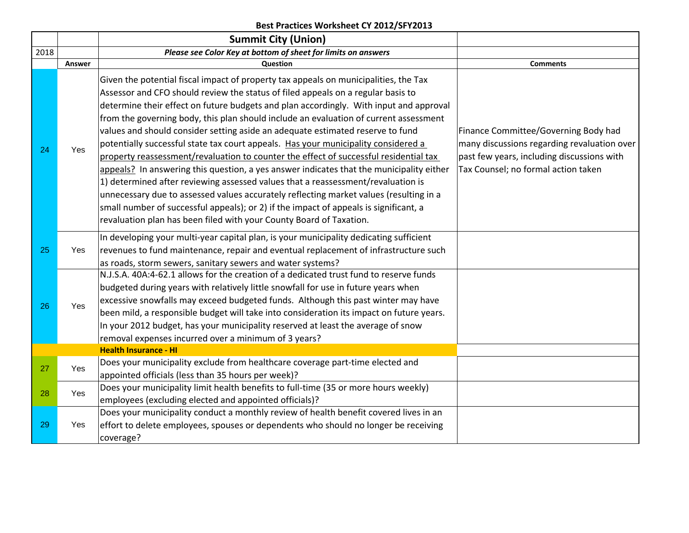|      |        | <b>Summit City (Union)</b>                                                                                                                                                                                                                                                                                                                                                                                                                                                                                                                                                                                                                                                                                                                                                                                                                                                                                                                                                                                                                                             |                                                                                                                                                                          |
|------|--------|------------------------------------------------------------------------------------------------------------------------------------------------------------------------------------------------------------------------------------------------------------------------------------------------------------------------------------------------------------------------------------------------------------------------------------------------------------------------------------------------------------------------------------------------------------------------------------------------------------------------------------------------------------------------------------------------------------------------------------------------------------------------------------------------------------------------------------------------------------------------------------------------------------------------------------------------------------------------------------------------------------------------------------------------------------------------|--------------------------------------------------------------------------------------------------------------------------------------------------------------------------|
| 2018 |        | Please see Color Key at bottom of sheet for limits on answers                                                                                                                                                                                                                                                                                                                                                                                                                                                                                                                                                                                                                                                                                                                                                                                                                                                                                                                                                                                                          |                                                                                                                                                                          |
|      | Answer | Question                                                                                                                                                                                                                                                                                                                                                                                                                                                                                                                                                                                                                                                                                                                                                                                                                                                                                                                                                                                                                                                               | <b>Comments</b>                                                                                                                                                          |
| 24   | Yes    | Given the potential fiscal impact of property tax appeals on municipalities, the Tax<br>Assessor and CFO should review the status of filed appeals on a regular basis to<br>determine their effect on future budgets and plan accordingly. With input and approval<br>from the governing body, this plan should include an evaluation of current assessment<br>values and should consider setting aside an adequate estimated reserve to fund<br>potentially successful state tax court appeals. Has your municipality considered a<br>property reassessment/revaluation to counter the effect of successful residential tax<br>appeals? In answering this question, a yes answer indicates that the municipality either<br>1) determined after reviewing assessed values that a reassessment/revaluation is<br>unnecessary due to assessed values accurately reflecting market values (resulting in a<br>small number of successful appeals); or 2) if the impact of appeals is significant, a<br>revaluation plan has been filed with your County Board of Taxation. | Finance Committee/Governing Body had<br>many discussions regarding revaluation over<br>past few years, including discussions with<br>Tax Counsel; no formal action taken |
| 25   | Yes    | In developing your multi-year capital plan, is your municipality dedicating sufficient<br>revenues to fund maintenance, repair and eventual replacement of infrastructure such<br>as roads, storm sewers, sanitary sewers and water systems?                                                                                                                                                                                                                                                                                                                                                                                                                                                                                                                                                                                                                                                                                                                                                                                                                           |                                                                                                                                                                          |
| 26   | Yes    | N.J.S.A. 40A:4-62.1 allows for the creation of a dedicated trust fund to reserve funds<br>budgeted during years with relatively little snowfall for use in future years when<br>excessive snowfalls may exceed budgeted funds. Although this past winter may have<br>been mild, a responsible budget will take into consideration its impact on future years.<br>In your 2012 budget, has your municipality reserved at least the average of snow<br>removal expenses incurred over a minimum of 3 years?                                                                                                                                                                                                                                                                                                                                                                                                                                                                                                                                                              |                                                                                                                                                                          |
|      |        | <b>Health Insurance - HI</b>                                                                                                                                                                                                                                                                                                                                                                                                                                                                                                                                                                                                                                                                                                                                                                                                                                                                                                                                                                                                                                           |                                                                                                                                                                          |
| 27   | Yes    | Does your municipality exclude from healthcare coverage part-time elected and<br>appointed officials (less than 35 hours per week)?                                                                                                                                                                                                                                                                                                                                                                                                                                                                                                                                                                                                                                                                                                                                                                                                                                                                                                                                    |                                                                                                                                                                          |
| 28   | Yes    | Does your municipality limit health benefits to full-time (35 or more hours weekly)<br>employees (excluding elected and appointed officials)?                                                                                                                                                                                                                                                                                                                                                                                                                                                                                                                                                                                                                                                                                                                                                                                                                                                                                                                          |                                                                                                                                                                          |
| 29   | Yes    | Does your municipality conduct a monthly review of health benefit covered lives in an<br>effort to delete employees, spouses or dependents who should no longer be receiving<br>coverage?                                                                                                                                                                                                                                                                                                                                                                                                                                                                                                                                                                                                                                                                                                                                                                                                                                                                              |                                                                                                                                                                          |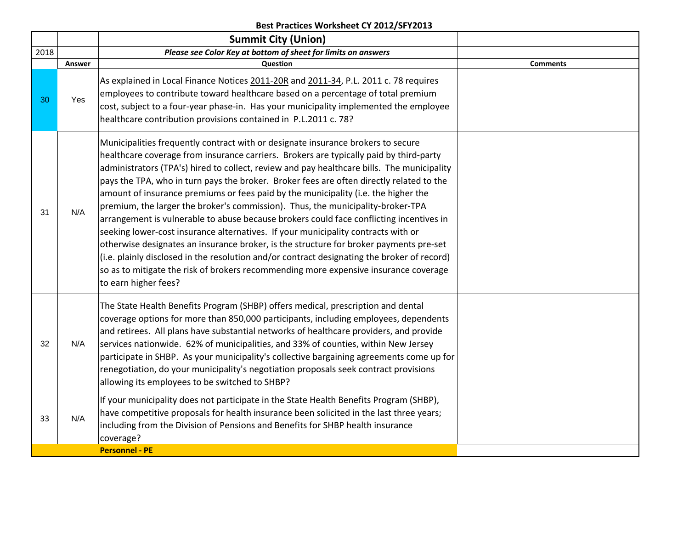|      |        | <b>Summit City (Union)</b>                                                                                                                                                                                                                                                                                                                                                                                                                                                                                                                                                                                                                                                                                                                                                                                                                                                                                                                                                                                                             |                 |
|------|--------|----------------------------------------------------------------------------------------------------------------------------------------------------------------------------------------------------------------------------------------------------------------------------------------------------------------------------------------------------------------------------------------------------------------------------------------------------------------------------------------------------------------------------------------------------------------------------------------------------------------------------------------------------------------------------------------------------------------------------------------------------------------------------------------------------------------------------------------------------------------------------------------------------------------------------------------------------------------------------------------------------------------------------------------|-----------------|
| 2018 |        | Please see Color Key at bottom of sheet for limits on answers                                                                                                                                                                                                                                                                                                                                                                                                                                                                                                                                                                                                                                                                                                                                                                                                                                                                                                                                                                          |                 |
|      | Answer | Question                                                                                                                                                                                                                                                                                                                                                                                                                                                                                                                                                                                                                                                                                                                                                                                                                                                                                                                                                                                                                               | <b>Comments</b> |
| 30   | Yes    | As explained in Local Finance Notices 2011-20R and 2011-34, P.L. 2011 c. 78 requires<br>employees to contribute toward healthcare based on a percentage of total premium<br>cost, subject to a four-year phase-in. Has your municipality implemented the employee<br>healthcare contribution provisions contained in P.L.2011 c. 78?                                                                                                                                                                                                                                                                                                                                                                                                                                                                                                                                                                                                                                                                                                   |                 |
| 31   | N/A    | Municipalities frequently contract with or designate insurance brokers to secure<br>healthcare coverage from insurance carriers. Brokers are typically paid by third-party<br>administrators (TPA's) hired to collect, review and pay healthcare bills. The municipality<br>pays the TPA, who in turn pays the broker. Broker fees are often directly related to the<br>amount of insurance premiums or fees paid by the municipality (i.e. the higher the<br>premium, the larger the broker's commission). Thus, the municipality-broker-TPA<br>arrangement is vulnerable to abuse because brokers could face conflicting incentives in<br>seeking lower-cost insurance alternatives. If your municipality contracts with or<br>otherwise designates an insurance broker, is the structure for broker payments pre-set<br>(i.e. plainly disclosed in the resolution and/or contract designating the broker of record)<br>so as to mitigate the risk of brokers recommending more expensive insurance coverage<br>to earn higher fees? |                 |
| 32   | N/A    | The State Health Benefits Program (SHBP) offers medical, prescription and dental<br>coverage options for more than 850,000 participants, including employees, dependents<br>and retirees. All plans have substantial networks of healthcare providers, and provide<br>services nationwide. 62% of municipalities, and 33% of counties, within New Jersey<br>participate in SHBP. As your municipality's collective bargaining agreements come up for<br>renegotiation, do your municipality's negotiation proposals seek contract provisions<br>allowing its employees to be switched to SHBP?                                                                                                                                                                                                                                                                                                                                                                                                                                         |                 |
| 33   | N/A    | If your municipality does not participate in the State Health Benefits Program (SHBP),<br>have competitive proposals for health insurance been solicited in the last three years;<br>including from the Division of Pensions and Benefits for SHBP health insurance<br>coverage?                                                                                                                                                                                                                                                                                                                                                                                                                                                                                                                                                                                                                                                                                                                                                       |                 |
|      |        | <b>Personnel - PE</b>                                                                                                                                                                                                                                                                                                                                                                                                                                                                                                                                                                                                                                                                                                                                                                                                                                                                                                                                                                                                                  |                 |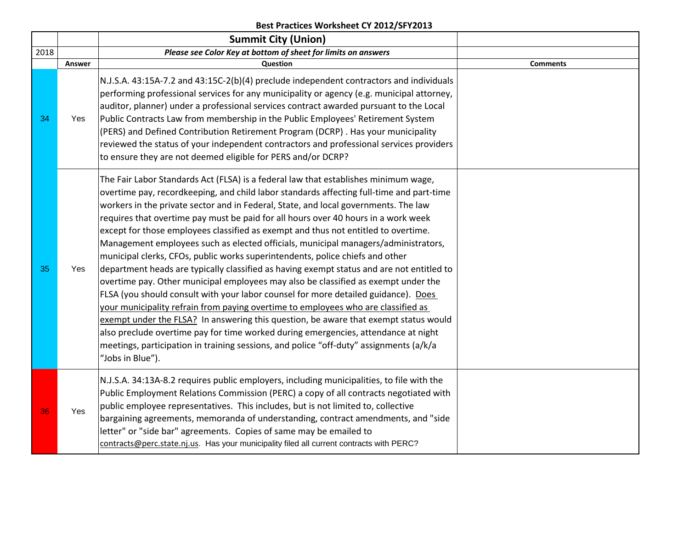|      |        | <b>Summit City (Union)</b>                                                                                                                                                                                                                                                                                                                                                                                                                                                                                                                                                                                                                                                                                                                                                                                                                                                                                                                                                                                                                                                                                                                                                                                                                                                          |                 |
|------|--------|-------------------------------------------------------------------------------------------------------------------------------------------------------------------------------------------------------------------------------------------------------------------------------------------------------------------------------------------------------------------------------------------------------------------------------------------------------------------------------------------------------------------------------------------------------------------------------------------------------------------------------------------------------------------------------------------------------------------------------------------------------------------------------------------------------------------------------------------------------------------------------------------------------------------------------------------------------------------------------------------------------------------------------------------------------------------------------------------------------------------------------------------------------------------------------------------------------------------------------------------------------------------------------------|-----------------|
| 2018 |        | Please see Color Key at bottom of sheet for limits on answers                                                                                                                                                                                                                                                                                                                                                                                                                                                                                                                                                                                                                                                                                                                                                                                                                                                                                                                                                                                                                                                                                                                                                                                                                       |                 |
|      | Answer | Question                                                                                                                                                                                                                                                                                                                                                                                                                                                                                                                                                                                                                                                                                                                                                                                                                                                                                                                                                                                                                                                                                                                                                                                                                                                                            | <b>Comments</b> |
| 34   | Yes    | N.J.S.A. 43:15A-7.2 and 43:15C-2(b)(4) preclude independent contractors and individuals<br>performing professional services for any municipality or agency (e.g. municipal attorney,<br>auditor, planner) under a professional services contract awarded pursuant to the Local<br>Public Contracts Law from membership in the Public Employees' Retirement System<br>(PERS) and Defined Contribution Retirement Program (DCRP). Has your municipality<br>reviewed the status of your independent contractors and professional services providers<br>to ensure they are not deemed eligible for PERS and/or DCRP?                                                                                                                                                                                                                                                                                                                                                                                                                                                                                                                                                                                                                                                                    |                 |
| 35   | Yes    | The Fair Labor Standards Act (FLSA) is a federal law that establishes minimum wage,<br>overtime pay, recordkeeping, and child labor standards affecting full-time and part-time<br>workers in the private sector and in Federal, State, and local governments. The law<br>requires that overtime pay must be paid for all hours over 40 hours in a work week<br>except for those employees classified as exempt and thus not entitled to overtime.<br>Management employees such as elected officials, municipal managers/administrators,<br>municipal clerks, CFOs, public works superintendents, police chiefs and other<br>department heads are typically classified as having exempt status and are not entitled to<br>overtime pay. Other municipal employees may also be classified as exempt under the<br>FLSA (you should consult with your labor counsel for more detailed guidance). Does<br>your municipality refrain from paying overtime to employees who are classified as<br>exempt under the FLSA? In answering this question, be aware that exempt status would<br>also preclude overtime pay for time worked during emergencies, attendance at night<br>meetings, participation in training sessions, and police "off-duty" assignments (a/k/a<br>"Jobs in Blue"). |                 |
| 36   | Yes    | N.J.S.A. 34:13A-8.2 requires public employers, including municipalities, to file with the<br>Public Employment Relations Commission (PERC) a copy of all contracts negotiated with<br>public employee representatives. This includes, but is not limited to, collective<br>bargaining agreements, memoranda of understanding, contract amendments, and "side<br>letter" or "side bar" agreements. Copies of same may be emailed to<br>contracts@perc.state.nj.us. Has your municipality filed all current contracts with PERC?                                                                                                                                                                                                                                                                                                                                                                                                                                                                                                                                                                                                                                                                                                                                                      |                 |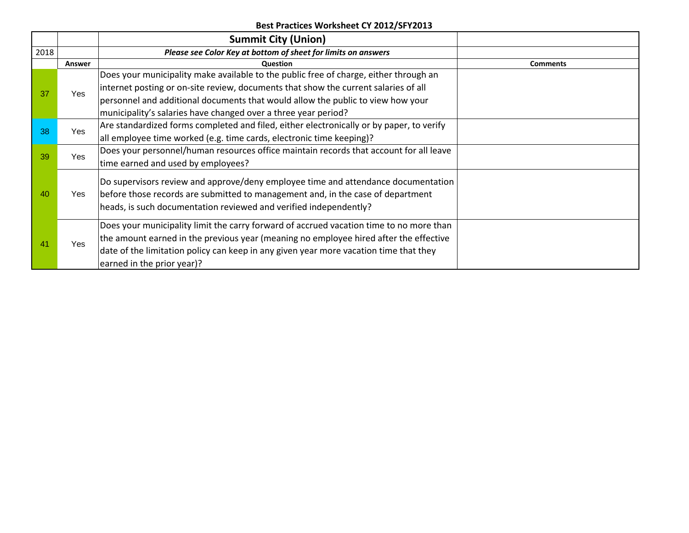|      |                                                                      | <b>Summit City (Union)</b>                                                               |                                                                                                                                                                                                                                           |
|------|----------------------------------------------------------------------|------------------------------------------------------------------------------------------|-------------------------------------------------------------------------------------------------------------------------------------------------------------------------------------------------------------------------------------------|
| 2018 |                                                                      | Please see Color Key at bottom of sheet for limits on answers                            |                                                                                                                                                                                                                                           |
|      | Answer                                                               | Question                                                                                 | <b>Comments</b>                                                                                                                                                                                                                           |
|      |                                                                      | Does your municipality make available to the public free of charge, either through an    |                                                                                                                                                                                                                                           |
| 37   | Yes.                                                                 | internet posting or on-site review, documents that show the current salaries of all      |                                                                                                                                                                                                                                           |
|      |                                                                      | personnel and additional documents that would allow the public to view how your          |                                                                                                                                                                                                                                           |
|      |                                                                      | municipality's salaries have changed over a three year period?                           |                                                                                                                                                                                                                                           |
| 38   | <b>Yes</b>                                                           | Are standardized forms completed and filed, either electronically or by paper, to verify |                                                                                                                                                                                                                                           |
|      | all employee time worked (e.g. time cards, electronic time keeping)? |                                                                                          |                                                                                                                                                                                                                                           |
| 39   | Yes                                                                  | Does your personnel/human resources office maintain records that account for all leave   |                                                                                                                                                                                                                                           |
|      |                                                                      | time earned and used by employees?                                                       |                                                                                                                                                                                                                                           |
|      |                                                                      |                                                                                          |                                                                                                                                                                                                                                           |
| 40   | Yes                                                                  |                                                                                          |                                                                                                                                                                                                                                           |
|      |                                                                      |                                                                                          |                                                                                                                                                                                                                                           |
|      |                                                                      |                                                                                          | Do supervisors review and approve/deny employee time and attendance documentation<br>before those records are submitted to management and, in the case of department<br>heads, is such documentation reviewed and verified independently? |
|      |                                                                      | Does your municipality limit the carry forward of accrued vacation time to no more than  |                                                                                                                                                                                                                                           |
|      |                                                                      | the amount earned in the previous year (meaning no employee hired after the effective    |                                                                                                                                                                                                                                           |
| 41   | Yes                                                                  | date of the limitation policy can keep in any given year more vacation time that they    |                                                                                                                                                                                                                                           |
|      |                                                                      | earned in the prior year)?                                                               |                                                                                                                                                                                                                                           |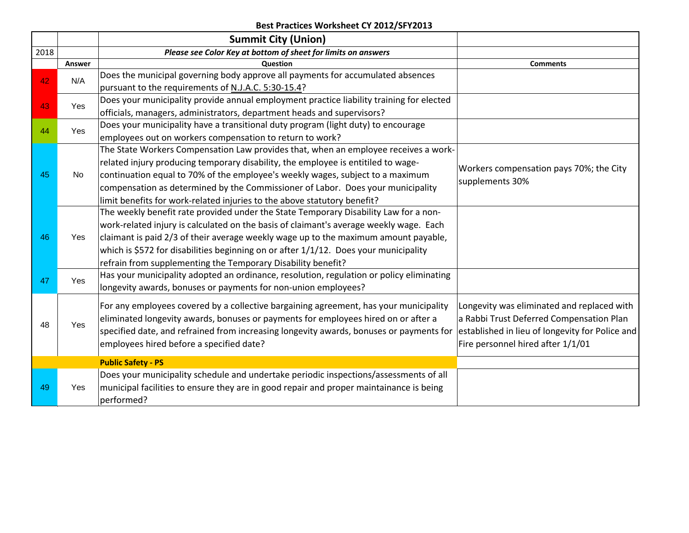|      |            | <b>Summit City (Union)</b>                                                               |                                                                                                                                                      |
|------|------------|------------------------------------------------------------------------------------------|------------------------------------------------------------------------------------------------------------------------------------------------------|
| 2018 |            | Please see Color Key at bottom of sheet for limits on answers                            |                                                                                                                                                      |
|      | Answer     | Question                                                                                 | <b>Comments</b>                                                                                                                                      |
| 42   | N/A        | Does the municipal governing body approve all payments for accumulated absences          | Workers compensation pays 70%; the City<br>supplements 30%<br>Longevity was eliminated and replaced with<br>a Rabbi Trust Deferred Compensation Plan |
|      |            | pursuant to the requirements of N.J.A.C. 5:30-15.4?                                      |                                                                                                                                                      |
| 43   | Yes        | Does your municipality provide annual employment practice liability training for elected |                                                                                                                                                      |
|      |            | officials, managers, administrators, department heads and supervisors?                   |                                                                                                                                                      |
| 44   | <b>Yes</b> | Does your municipality have a transitional duty program (light duty) to encourage        |                                                                                                                                                      |
|      |            | employees out on workers compensation to return to work?                                 |                                                                                                                                                      |
|      |            | The State Workers Compensation Law provides that, when an employee receives a work-      |                                                                                                                                                      |
|      |            | related injury producing temporary disability, the employee is entitiled to wage-        | established in lieu of longevity for Police and<br>Fire personnel hired after 1/1/01                                                                 |
| 45   | No         | continuation equal to 70% of the employee's weekly wages, subject to a maximum           |                                                                                                                                                      |
|      |            | compensation as determined by the Commissioner of Labor. Does your municipality          |                                                                                                                                                      |
|      |            | limit benefits for work-related injuries to the above statutory benefit?                 |                                                                                                                                                      |
|      | Yes        | The weekly benefit rate provided under the State Temporary Disability Law for a non-     |                                                                                                                                                      |
|      |            | work-related injury is calculated on the basis of claimant's average weekly wage. Each   |                                                                                                                                                      |
| 46   |            | claimant is paid 2/3 of their average weekly wage up to the maximum amount payable,      |                                                                                                                                                      |
|      |            | which is \$572 for disabilities beginning on or after 1/1/12. Does your municipality     |                                                                                                                                                      |
|      |            | refrain from supplementing the Temporary Disability benefit?                             |                                                                                                                                                      |
|      |            | Has your municipality adopted an ordinance, resolution, regulation or policy eliminating |                                                                                                                                                      |
| 47   | <b>Yes</b> | longevity awards, bonuses or payments for non-union employees?                           |                                                                                                                                                      |
|      |            |                                                                                          |                                                                                                                                                      |
|      |            | For any employees covered by a collective bargaining agreement, has your municipality    |                                                                                                                                                      |
| 48   | Yes        | eliminated longevity awards, bonuses or payments for employees hired on or after a       |                                                                                                                                                      |
|      |            | specified date, and refrained from increasing longevity awards, bonuses or payments for  |                                                                                                                                                      |
|      |            | employees hired before a specified date?                                                 |                                                                                                                                                      |
|      |            | <b>Public Safety - PS</b>                                                                |                                                                                                                                                      |
|      |            | Does your municipality schedule and undertake periodic inspections/assessments of all    |                                                                                                                                                      |
| 49   | Yes        | municipal facilities to ensure they are in good repair and proper maintainance is being  |                                                                                                                                                      |
|      |            | performed?                                                                               |                                                                                                                                                      |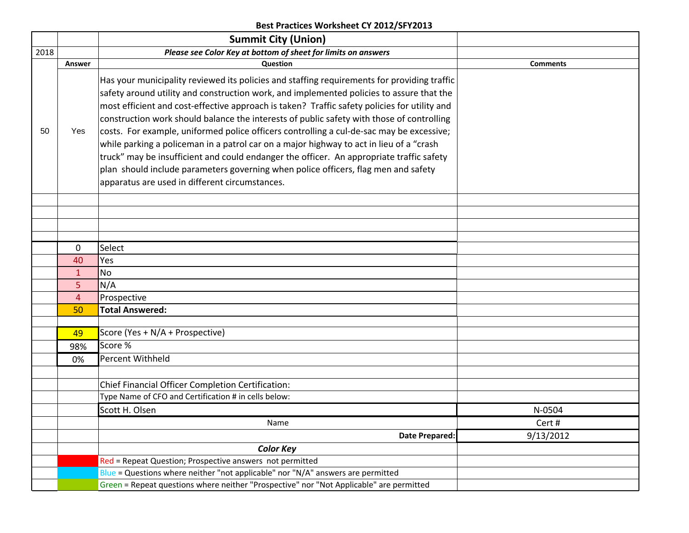|      |                                                                                         | <b>Summit City (Union)</b>                                                                                                                                                                                                                                                                                                                                                                                                                                                                                                                                                                                                                                                                                                                                                                                      |                 |  |  |  |
|------|-----------------------------------------------------------------------------------------|-----------------------------------------------------------------------------------------------------------------------------------------------------------------------------------------------------------------------------------------------------------------------------------------------------------------------------------------------------------------------------------------------------------------------------------------------------------------------------------------------------------------------------------------------------------------------------------------------------------------------------------------------------------------------------------------------------------------------------------------------------------------------------------------------------------------|-----------------|--|--|--|
| 2018 |                                                                                         | Please see Color Key at bottom of sheet for limits on answers                                                                                                                                                                                                                                                                                                                                                                                                                                                                                                                                                                                                                                                                                                                                                   |                 |  |  |  |
|      | Answer                                                                                  | Question                                                                                                                                                                                                                                                                                                                                                                                                                                                                                                                                                                                                                                                                                                                                                                                                        | <b>Comments</b> |  |  |  |
| 50   | Yes                                                                                     | Has your municipality reviewed its policies and staffing requirements for providing traffic<br>safety around utility and construction work, and implemented policies to assure that the<br>most efficient and cost-effective approach is taken? Traffic safety policies for utility and<br>construction work should balance the interests of public safety with those of controlling<br>costs. For example, uniformed police officers controlling a cul-de-sac may be excessive;<br>while parking a policeman in a patrol car on a major highway to act in lieu of a "crash<br>truck" may be insufficient and could endanger the officer. An appropriate traffic safety<br>plan should include parameters governing when police officers, flag men and safety<br>apparatus are used in different circumstances. |                 |  |  |  |
|      |                                                                                         |                                                                                                                                                                                                                                                                                                                                                                                                                                                                                                                                                                                                                                                                                                                                                                                                                 |                 |  |  |  |
|      |                                                                                         |                                                                                                                                                                                                                                                                                                                                                                                                                                                                                                                                                                                                                                                                                                                                                                                                                 |                 |  |  |  |
|      |                                                                                         |                                                                                                                                                                                                                                                                                                                                                                                                                                                                                                                                                                                                                                                                                                                                                                                                                 |                 |  |  |  |
|      | $\mathbf 0$                                                                             | Select                                                                                                                                                                                                                                                                                                                                                                                                                                                                                                                                                                                                                                                                                                                                                                                                          |                 |  |  |  |
|      | 40                                                                                      | Yes                                                                                                                                                                                                                                                                                                                                                                                                                                                                                                                                                                                                                                                                                                                                                                                                             |                 |  |  |  |
|      | $\mathbf{1}$                                                                            | No                                                                                                                                                                                                                                                                                                                                                                                                                                                                                                                                                                                                                                                                                                                                                                                                              |                 |  |  |  |
|      | 5                                                                                       | N/A                                                                                                                                                                                                                                                                                                                                                                                                                                                                                                                                                                                                                                                                                                                                                                                                             |                 |  |  |  |
|      | $\overline{4}$                                                                          | Prospective                                                                                                                                                                                                                                                                                                                                                                                                                                                                                                                                                                                                                                                                                                                                                                                                     |                 |  |  |  |
|      | 50                                                                                      | <b>Total Answered:</b>                                                                                                                                                                                                                                                                                                                                                                                                                                                                                                                                                                                                                                                                                                                                                                                          |                 |  |  |  |
|      |                                                                                         |                                                                                                                                                                                                                                                                                                                                                                                                                                                                                                                                                                                                                                                                                                                                                                                                                 |                 |  |  |  |
|      | 49                                                                                      | Score (Yes + N/A + Prospective)                                                                                                                                                                                                                                                                                                                                                                                                                                                                                                                                                                                                                                                                                                                                                                                 |                 |  |  |  |
|      | 98%                                                                                     | Score %                                                                                                                                                                                                                                                                                                                                                                                                                                                                                                                                                                                                                                                                                                                                                                                                         |                 |  |  |  |
|      | 0%                                                                                      | Percent Withheld                                                                                                                                                                                                                                                                                                                                                                                                                                                                                                                                                                                                                                                                                                                                                                                                |                 |  |  |  |
|      |                                                                                         |                                                                                                                                                                                                                                                                                                                                                                                                                                                                                                                                                                                                                                                                                                                                                                                                                 |                 |  |  |  |
|      |                                                                                         | Chief Financial Officer Completion Certification:                                                                                                                                                                                                                                                                                                                                                                                                                                                                                                                                                                                                                                                                                                                                                               |                 |  |  |  |
|      |                                                                                         | Type Name of CFO and Certification # in cells below:                                                                                                                                                                                                                                                                                                                                                                                                                                                                                                                                                                                                                                                                                                                                                            |                 |  |  |  |
|      |                                                                                         | Scott H. Olsen                                                                                                                                                                                                                                                                                                                                                                                                                                                                                                                                                                                                                                                                                                                                                                                                  | N-0504          |  |  |  |
|      |                                                                                         | Name                                                                                                                                                                                                                                                                                                                                                                                                                                                                                                                                                                                                                                                                                                                                                                                                            | Cert#           |  |  |  |
|      |                                                                                         | Date Prepared:                                                                                                                                                                                                                                                                                                                                                                                                                                                                                                                                                                                                                                                                                                                                                                                                  | 9/13/2012       |  |  |  |
|      |                                                                                         | <b>Color Key</b>                                                                                                                                                                                                                                                                                                                                                                                                                                                                                                                                                                                                                                                                                                                                                                                                |                 |  |  |  |
|      |                                                                                         | Red = Repeat Question; Prospective answers not permitted                                                                                                                                                                                                                                                                                                                                                                                                                                                                                                                                                                                                                                                                                                                                                        |                 |  |  |  |
|      |                                                                                         | $Blue = Questions where neither "not applicable" nor "N/A" answers are permitted$                                                                                                                                                                                                                                                                                                                                                                                                                                                                                                                                                                                                                                                                                                                               |                 |  |  |  |
|      | Green = Repeat questions where neither "Prospective" nor "Not Applicable" are permitted |                                                                                                                                                                                                                                                                                                                                                                                                                                                                                                                                                                                                                                                                                                                                                                                                                 |                 |  |  |  |